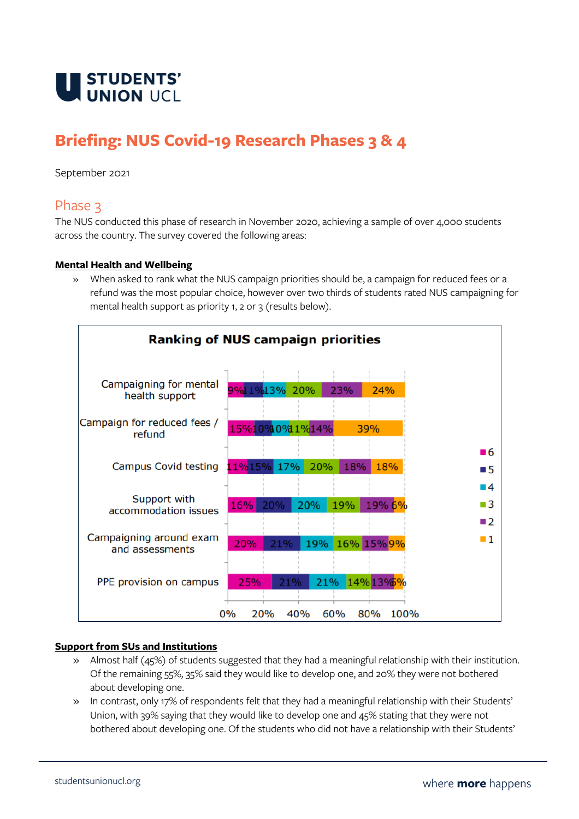

# **Briefing: NUS Covid-19 Research Phases 3 & 4**

September 2021

# Phase 3

The NUS conducted this phase of research in November 2020, achieving a sample of over 4,000 students across the country. The survey covered the following areas:

### **Mental Health and Wellbeing**

» When asked to rank what the NUS campaign priorities should be, a campaign for reduced fees or a refund was the most popular choice, however over two thirds of students rated NUS campaigning for mental health support as priority 1, 2 or 3 (results below).



#### **Support from SUs and Institutions**

- » Almost half (45%) of students suggested that they had a meaningful relationship with their institution. Of the remaining 55%, 35% said they would like to develop one, and 20% they were not bothered about developing one.
- » In contrast, only 17% of respondents felt that they had a meaningful relationship with their Students' Union, with 39% saying that they would like to develop one and 45% stating that they were not bothered about developing one. Of the students who did not have a relationship with their Students'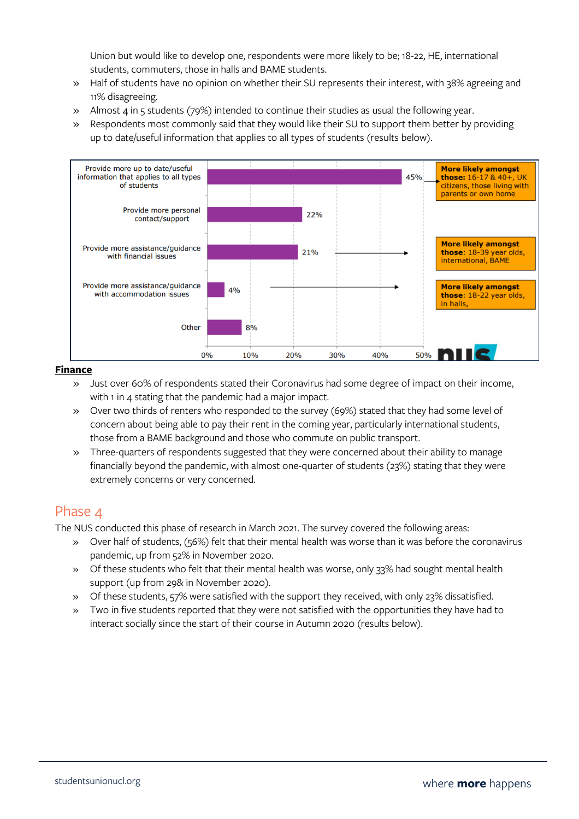Union but would like to develop one, respondents were more likely to be; 18-22, HE, international students, commuters, those in halls and BAME students.

- » Half of students have no opinion on whether their SU represents their interest, with 38% agreeing and 11% disagreeing.
- » Almost 4 in 5 students (79%) intended to continue their studies as usual the following year.
- » Respondents most commonly said that they would like their SU to support them better by providing up to date/useful information that applies to all types of students (results below).



#### **Finance**

- » Just over 60% of respondents stated their Coronavirus had some degree of impact on their income, with 1 in 4 stating that the pandemic had a major impact.
- » Over two thirds of renters who responded to the survey (69%) stated that they had some level of concern about being able to pay their rent in the coming year, particularly international students, those from a BAME background and those who commute on public transport.
- » Three-quarters of respondents suggested that they were concerned about their ability to manage financially beyond the pandemic, with almost one-quarter of students (23%) stating that they were extremely concerns or very concerned.

# Phase 4

The NUS conducted this phase of research in March 2021. The survey covered the following areas:

- » Over half of students, (56%) felt that their mental health was worse than it was before the coronavirus pandemic, up from 52% in November 2020.
- » Of these students who felt that their mental health was worse, only 33% had sought mental health support (up from 29& in November 2020).
- » Of these students, 57% were satisfied with the support they received, with only 23% dissatisfied.
- » Two in five students reported that they were not satisfied with the opportunities they have had to interact socially since the start of their course in Autumn 2020 (results below).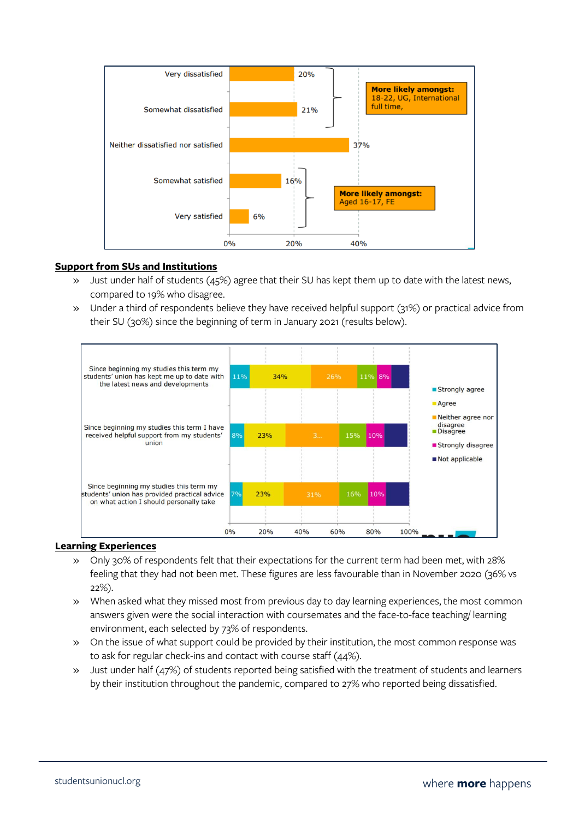

### **Support from SUs and Institutions**

- » Just under half of students (45%) agree that their SU has kept them up to date with the latest news, compared to 19% who disagree.
- » Under a third of respondents believe they have received helpful support (31%) or practical advice from their SU (30%) since the beginning of term in January 2021 (results below).



### **Learning Experiences**

- » Only 30% of respondents felt that their expectations for the current term had been met, with 28% feeling that they had not been met. These figures are less favourable than in November 2020 (36% vs 22%).
- » When asked what they missed most from previous day to day learning experiences, the most common answers given were the social interaction with coursemates and the face-to-face teaching/ learning environment, each selected by 73% of respondents.
- » On the issue of what support could be provided by their institution, the most common response was to ask for regular check-ins and contact with course staff (44%).
- » Just under half (47%) of students reported being satisfied with the treatment of students and learners by their institution throughout the pandemic, compared to 27% who reported being dissatisfied.